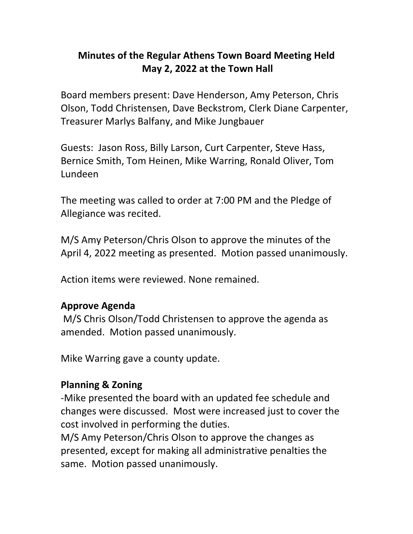### **Minutes of the Regular Athens Town Board Meeting Held May 2, 2022 at the Town Hall**

Board members present: Dave Henderson, Amy Peterson, Chris Olson, Todd Christensen, Dave Beckstrom, Clerk Diane Carpenter, Treasurer Marlys Balfany, and Mike Jungbauer

Guests: Jason Ross, Billy Larson, Curt Carpenter, Steve Hass, Bernice Smith, Tom Heinen, Mike Warring, Ronald Oliver, Tom Lundeen

The meeting was called to order at 7:00 PM and the Pledge of Allegiance was recited.

M/S Amy Peterson/Chris Olson to approve the minutes of the April 4, 2022 meeting as presented. Motion passed unanimously.

Action items were reviewed. None remained.

### **Approve Agenda**

M/S Chris Olson/Todd Christensen to approve the agenda as amended. Motion passed unanimously.

Mike Warring gave a county update.

### **Planning & Zoning**

-Mike presented the board with an updated fee schedule and changes were discussed. Most were increased just to cover the cost involved in performing the duties.

M/S Amy Peterson/Chris Olson to approve the changes as presented, except for making all administrative penalties the same. Motion passed unanimously.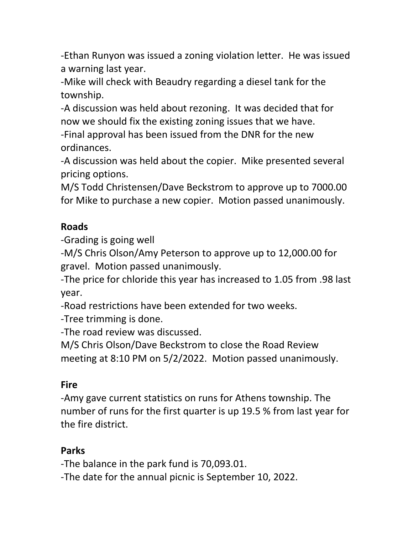-Ethan Runyon was issued a zoning violation letter. He was issued a warning last year.

-Mike will check with Beaudry regarding a diesel tank for the township.

-A discussion was held about rezoning. It was decided that for now we should fix the existing zoning issues that we have.

-Final approval has been issued from the DNR for the new ordinances.

-A discussion was held about the copier. Mike presented several pricing options.

M/S Todd Christensen/Dave Beckstrom to approve up to 7000.00 for Mike to purchase a new copier. Motion passed unanimously.

# **Roads**

-Grading is going well

-M/S Chris Olson/Amy Peterson to approve up to 12,000.00 for gravel. Motion passed unanimously.

-The price for chloride this year has increased to 1.05 from .98 last year.

-Road restrictions have been extended for two weeks.

-Tree trimming is done.

-The road review was discussed.

M/S Chris Olson/Dave Beckstrom to close the Road Review meeting at 8:10 PM on 5/2/2022. Motion passed unanimously.

# **Fire**

-Amy gave current statistics on runs for Athens township. The number of runs for the first quarter is up 19.5 % from last year for the fire district.

### **Parks**

-The balance in the park fund is 70,093.01.

-The date for the annual picnic is September 10, 2022.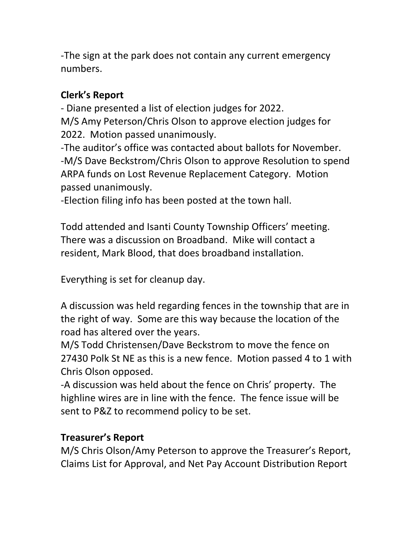-The sign at the park does not contain any current emergency numbers.

### **Clerk's Report**

- Diane presented a list of election judges for 2022. M/S Amy Peterson/Chris Olson to approve election judges for 2022. Motion passed unanimously.

-The auditor's office was contacted about ballots for November. -M/S Dave Beckstrom/Chris Olson to approve Resolution to spend ARPA funds on Lost Revenue Replacement Category. Motion passed unanimously.

-Election filing info has been posted at the town hall.

Todd attended and Isanti County Township Officers' meeting. There was a discussion on Broadband. Mike will contact a resident, Mark Blood, that does broadband installation.

Everything is set for cleanup day.

A discussion was held regarding fences in the township that are in the right of way. Some are this way because the location of the road has altered over the years.

M/S Todd Christensen/Dave Beckstrom to move the fence on 27430 Polk St NE as this is a new fence. Motion passed 4 to 1 with Chris Olson opposed.

-A discussion was held about the fence on Chris' property. The highline wires are in line with the fence. The fence issue will be sent to P&Z to recommend policy to be set.

### **Treasurer's Report**

M/S Chris Olson/Amy Peterson to approve the Treasurer's Report, Claims List for Approval, and Net Pay Account Distribution Report